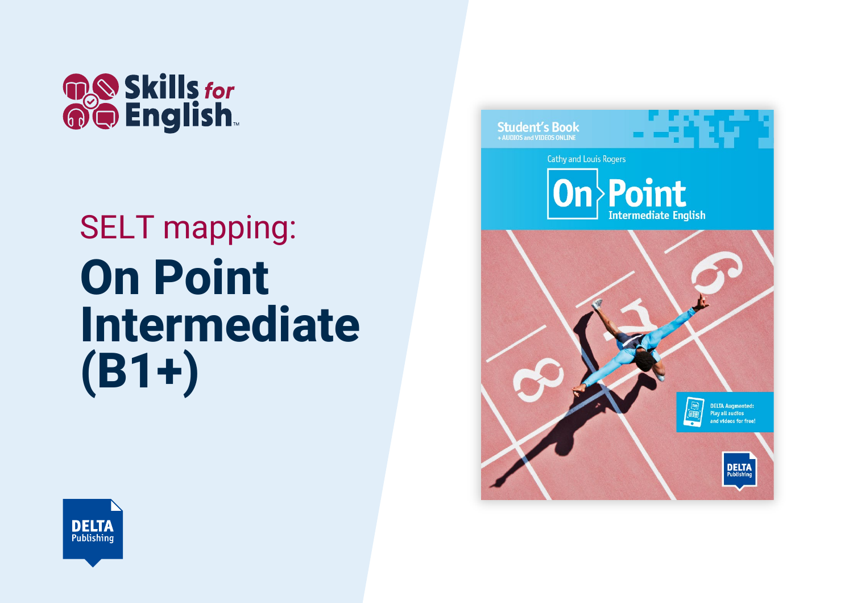

## SELT mapping: **On Point Intermediate (B1+)**



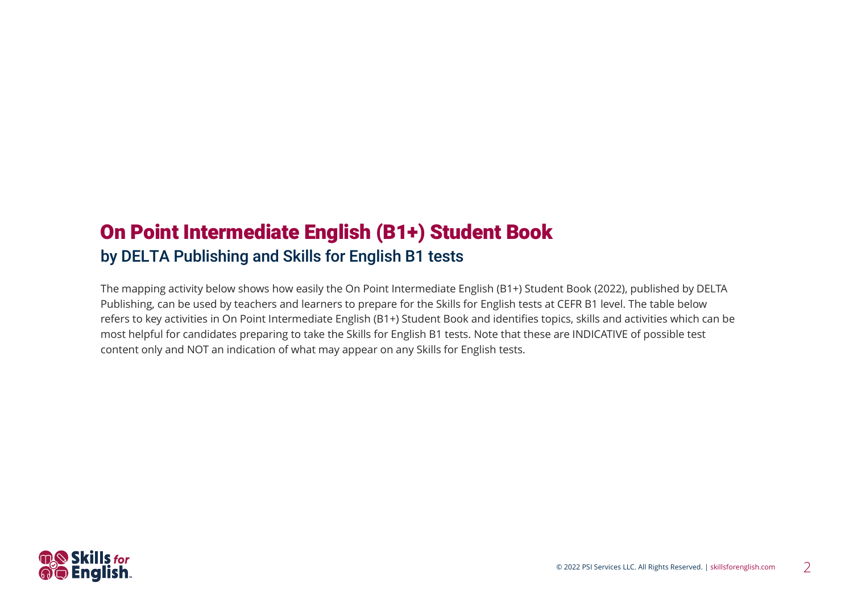## On Point Intermediate English (B1+) Student Book by DELTA Publishing and Skills for English B1 tests

The mapping activity below shows how easily the On Point Intermediate English (B1+) Student Book (2022), published by DELTA Publishing, can be used by teachers and learners to prepare for the Skills for English tests at CEFR B1 level. The table below refers to key activities in On Point Intermediate English (B1+) Student Book and identifies topics, skills and activities which can be most helpful for candidates preparing to take the Skills for English B1 tests. Note that these are INDICATIVE of possible test content only and NOT an indication of what may appear on any Skills for English tests.

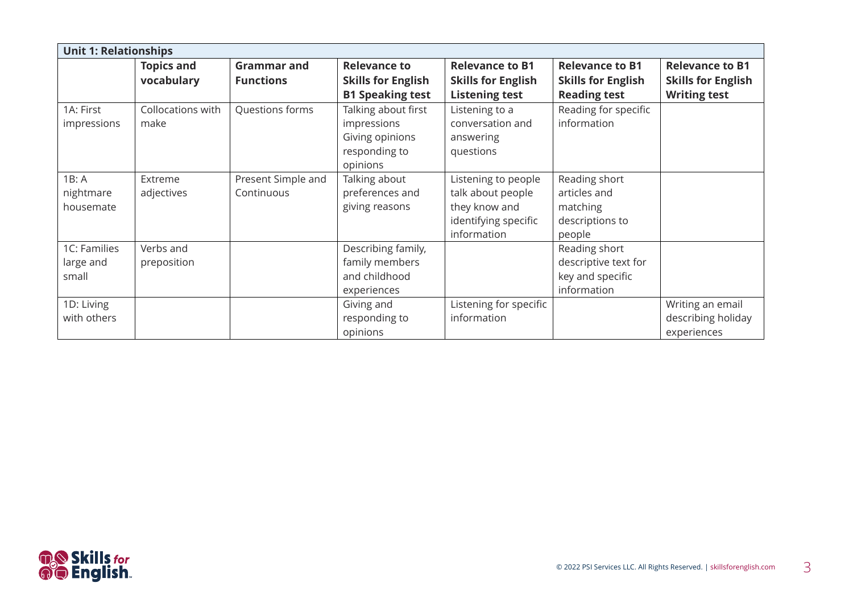| <b>Unit 1: Relationships</b>       |                                 |                                        |                                                                                    |                                                                                                  |                                                                            |                                                                            |  |  |
|------------------------------------|---------------------------------|----------------------------------------|------------------------------------------------------------------------------------|--------------------------------------------------------------------------------------------------|----------------------------------------------------------------------------|----------------------------------------------------------------------------|--|--|
|                                    | <b>Topics and</b><br>vocabulary | <b>Grammar and</b><br><b>Functions</b> | <b>Relevance to</b><br><b>Skills for English</b><br><b>B1 Speaking test</b>        | <b>Relevance to B1</b><br><b>Skills for English</b><br><b>Listening test</b>                     | <b>Relevance to B1</b><br><b>Skills for English</b><br><b>Reading test</b> | <b>Relevance to B1</b><br><b>Skills for English</b><br><b>Writing test</b> |  |  |
| 1A: First<br>impressions           | Collocations with<br>make       | Questions forms                        | Talking about first<br>impressions<br>Giving opinions<br>responding to<br>opinions | Listening to a<br>conversation and<br>answering<br>questions                                     | Reading for specific<br>information                                        |                                                                            |  |  |
| 1B: A<br>nightmare<br>housemate    | Extreme<br>adjectives           | Present Simple and<br>Continuous       | Talking about<br>preferences and<br>giving reasons                                 | Listening to people<br>talk about people<br>they know and<br>identifying specific<br>information | Reading short<br>articles and<br>matching<br>descriptions to<br>people     |                                                                            |  |  |
| 1C: Families<br>large and<br>small | Verbs and<br>preposition        |                                        | Describing family,<br>family members<br>and childhood<br>experiences               |                                                                                                  | Reading short<br>descriptive text for<br>key and specific<br>information   |                                                                            |  |  |
| 1D: Living<br>with others          |                                 |                                        | Giving and<br>responding to<br>opinions                                            | Listening for specific<br>information                                                            |                                                                            | Writing an email<br>describing holiday<br>experiences                      |  |  |

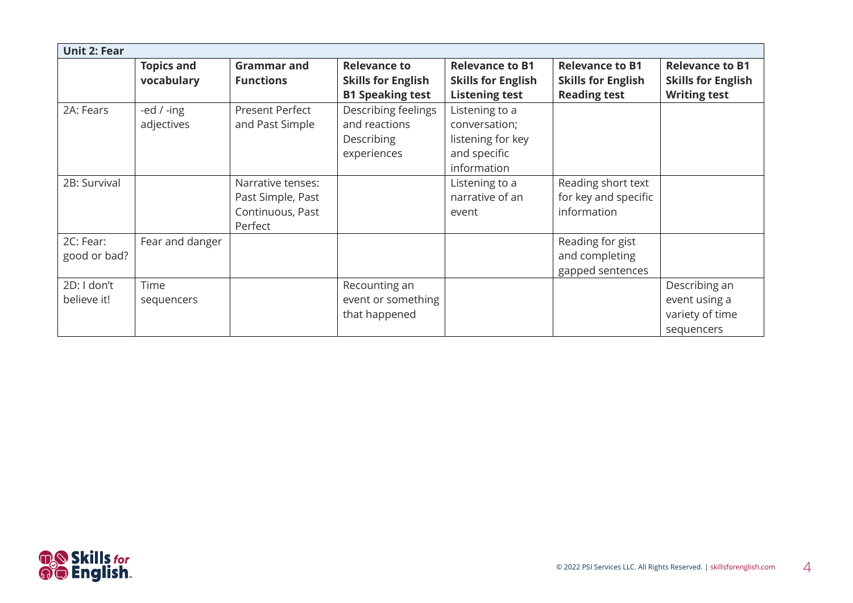| <b>Unit 2: Fear</b>        |                                 |                                                                       |                                                                             |                                                                                     |                                                                            |                                                                            |
|----------------------------|---------------------------------|-----------------------------------------------------------------------|-----------------------------------------------------------------------------|-------------------------------------------------------------------------------------|----------------------------------------------------------------------------|----------------------------------------------------------------------------|
|                            | <b>Topics and</b><br>vocabulary | <b>Grammar and</b><br><b>Functions</b>                                | <b>Relevance to</b><br><b>Skills for English</b><br><b>B1 Speaking test</b> | <b>Relevance to B1</b><br><b>Skills for English</b><br><b>Listening test</b>        | <b>Relevance to B1</b><br><b>Skills for English</b><br><b>Reading test</b> | <b>Relevance to B1</b><br><b>Skills for English</b><br><b>Writing test</b> |
| 2A: Fears                  | -ed $/$ -ing<br>adjectives      | Present Perfect<br>and Past Simple                                    | Describing feelings<br>and reactions<br>Describing<br>experiences           | Listening to a<br>conversation;<br>listening for key<br>and specific<br>information |                                                                            |                                                                            |
| 2B: Survival               |                                 | Narrative tenses:<br>Past Simple, Past<br>Continuous, Past<br>Perfect |                                                                             | Listening to a<br>narrative of an<br>event                                          | Reading short text<br>for key and specific<br>information                  |                                                                            |
| 2C: Fear:<br>good or bad?  | Fear and danger                 |                                                                       |                                                                             |                                                                                     | Reading for gist<br>and completing<br>gapped sentences                     |                                                                            |
| 2D: I don't<br>believe it! | Time<br>sequencers              |                                                                       | Recounting an<br>event or something<br>that happened                        |                                                                                     |                                                                            | Describing an<br>event using a<br>variety of time<br>sequencers            |

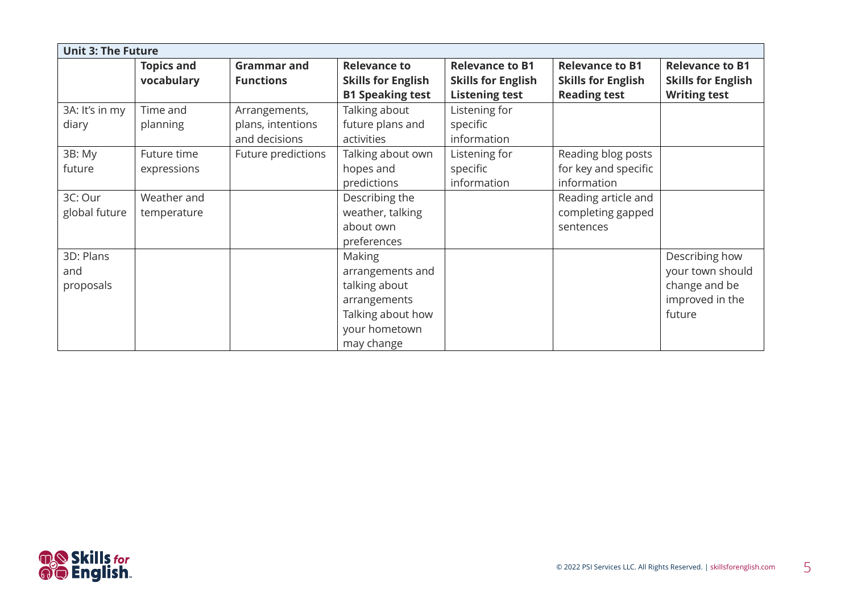| <b>Unit 3: The Future</b> |                   |                    |                           |                           |                           |                           |  |  |
|---------------------------|-------------------|--------------------|---------------------------|---------------------------|---------------------------|---------------------------|--|--|
|                           | <b>Topics and</b> | <b>Grammar and</b> | <b>Relevance to</b>       | <b>Relevance to B1</b>    | <b>Relevance to B1</b>    | <b>Relevance to B1</b>    |  |  |
|                           | vocabulary        | <b>Functions</b>   | <b>Skills for English</b> | <b>Skills for English</b> | <b>Skills for English</b> | <b>Skills for English</b> |  |  |
|                           |                   |                    | <b>B1 Speaking test</b>   | <b>Listening test</b>     | <b>Reading test</b>       | <b>Writing test</b>       |  |  |
| 3A: It's in my            | Time and          | Arrangements,      | Talking about             | Listening for             |                           |                           |  |  |
| diary                     | planning          | plans, intentions  | future plans and          | specific                  |                           |                           |  |  |
|                           |                   | and decisions      | activities                | information               |                           |                           |  |  |
| 3B: My                    | Future time       | Future predictions | Talking about own         | Listening for             | Reading blog posts        |                           |  |  |
| future                    | expressions       |                    | hopes and                 | specific                  | for key and specific      |                           |  |  |
|                           |                   |                    | predictions               | information               | information               |                           |  |  |
| 3C: Our                   | Weather and       |                    | Describing the            |                           | Reading article and       |                           |  |  |
| global future             | temperature       |                    | weather, talking          |                           | completing gapped         |                           |  |  |
|                           |                   |                    | about own                 |                           | sentences                 |                           |  |  |
|                           |                   |                    | preferences               |                           |                           |                           |  |  |
| 3D: Plans                 |                   |                    | Making                    |                           |                           | Describing how            |  |  |
| and                       |                   |                    | arrangements and          |                           |                           | your town should          |  |  |
| proposals                 |                   |                    | talking about             |                           |                           | change and be             |  |  |
|                           |                   |                    | arrangements              |                           |                           | improved in the           |  |  |
|                           |                   |                    | Talking about how         |                           |                           | future                    |  |  |
|                           |                   |                    | your hometown             |                           |                           |                           |  |  |
|                           |                   |                    | may change                |                           |                           |                           |  |  |

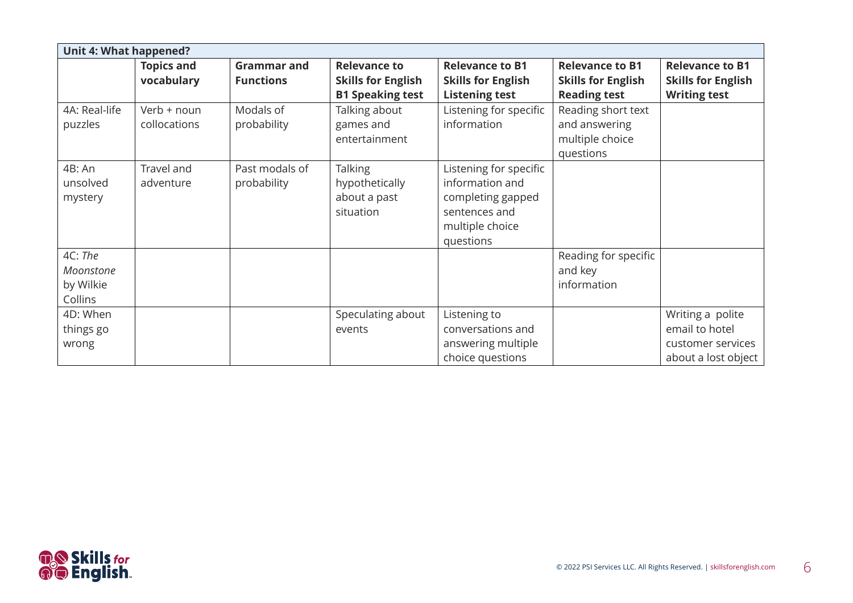| Unit 4: What happened?                       |                                 |                                        |                                                                             |                                                                                                                 |                                                                            |                                                                                |
|----------------------------------------------|---------------------------------|----------------------------------------|-----------------------------------------------------------------------------|-----------------------------------------------------------------------------------------------------------------|----------------------------------------------------------------------------|--------------------------------------------------------------------------------|
|                                              | <b>Topics and</b><br>vocabulary | <b>Grammar and</b><br><b>Functions</b> | <b>Relevance to</b><br><b>Skills for English</b><br><b>B1 Speaking test</b> | <b>Relevance to B1</b><br><b>Skills for English</b><br><b>Listening test</b>                                    | <b>Relevance to B1</b><br><b>Skills for English</b><br><b>Reading test</b> | <b>Relevance to B1</b><br><b>Skills for English</b><br><b>Writing test</b>     |
| 4A: Real-life<br>puzzles                     | Verb + noun<br>collocations     | Modals of<br>probability               | Talking about<br>games and<br>entertainment                                 | Listening for specific<br>information                                                                           | Reading short text<br>and answering<br>multiple choice<br>questions        |                                                                                |
| 4B: An<br>unsolved<br>mystery                | Travel and<br>adventure         | Past modals of<br>probability          | <b>Talking</b><br>hypothetically<br>about a past<br>situation               | Listening for specific<br>information and<br>completing gapped<br>sentences and<br>multiple choice<br>questions |                                                                            |                                                                                |
| 4C: The<br>Moonstone<br>by Wilkie<br>Collins |                                 |                                        |                                                                             |                                                                                                                 | Reading for specific<br>and key<br>information                             |                                                                                |
| 4D: When<br>things go<br>wrong               |                                 |                                        | Speculating about<br>events                                                 | Listening to<br>conversations and<br>answering multiple<br>choice questions                                     |                                                                            | Writing a polite<br>email to hotel<br>customer services<br>about a lost object |

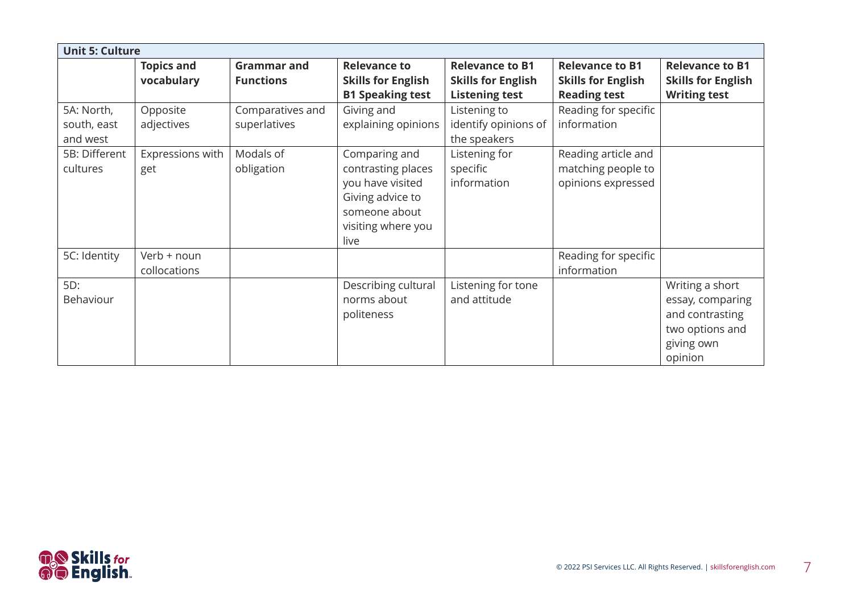| <b>Unit 5: Culture</b>                |                                 |                                        |                                                                                                                            |                                                                              |                                                                            |                                                                                                    |  |  |
|---------------------------------------|---------------------------------|----------------------------------------|----------------------------------------------------------------------------------------------------------------------------|------------------------------------------------------------------------------|----------------------------------------------------------------------------|----------------------------------------------------------------------------------------------------|--|--|
|                                       | <b>Topics and</b><br>vocabulary | <b>Grammar and</b><br><b>Functions</b> | <b>Relevance to</b><br><b>Skills for English</b><br><b>B1 Speaking test</b>                                                | <b>Relevance to B1</b><br><b>Skills for English</b><br><b>Listening test</b> | <b>Relevance to B1</b><br><b>Skills for English</b><br><b>Reading test</b> | <b>Relevance to B1</b><br><b>Skills for English</b><br><b>Writing test</b>                         |  |  |
| 5A: North,<br>south, east<br>and west | Opposite<br>adjectives          | Comparatives and<br>superlatives       | Giving and<br>explaining opinions                                                                                          | Listening to<br>identify opinions of<br>the speakers                         | Reading for specific<br>information                                        |                                                                                                    |  |  |
| 5B: Different<br>cultures             | Expressions with<br>get         | Modals of<br>obligation                | Comparing and<br>contrasting places<br>you have visited<br>Giving advice to<br>someone about<br>visiting where you<br>live | Listening for<br>specific<br>information                                     | Reading article and<br>matching people to<br>opinions expressed            |                                                                                                    |  |  |
| 5C: Identity                          | Verb + noun<br>collocations     |                                        |                                                                                                                            |                                                                              | Reading for specific<br>information                                        |                                                                                                    |  |  |
| 5D:<br>Behaviour                      |                                 |                                        | Describing cultural<br>norms about<br>politeness                                                                           | Listening for tone<br>and attitude                                           |                                                                            | Writing a short<br>essay, comparing<br>and contrasting<br>two options and<br>giving own<br>opinion |  |  |

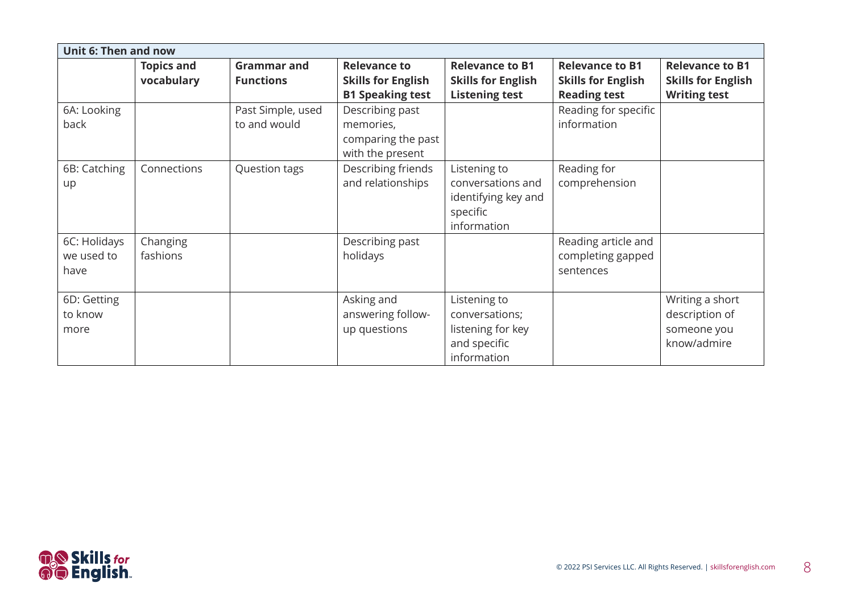| <b>Unit 6: Then and now</b>        |                                 |                                        |                                                                             |                                                                                     |                                                                            |                                                                            |
|------------------------------------|---------------------------------|----------------------------------------|-----------------------------------------------------------------------------|-------------------------------------------------------------------------------------|----------------------------------------------------------------------------|----------------------------------------------------------------------------|
|                                    | <b>Topics and</b><br>vocabulary | <b>Grammar and</b><br><b>Functions</b> | <b>Relevance to</b><br><b>Skills for English</b><br><b>B1 Speaking test</b> | <b>Relevance to B1</b><br><b>Skills for English</b><br><b>Listening test</b>        | <b>Relevance to B1</b><br><b>Skills for English</b><br><b>Reading test</b> | <b>Relevance to B1</b><br><b>Skills for English</b><br><b>Writing test</b> |
| 6A: Looking<br>back                |                                 | Past Simple, used<br>to and would      | Describing past<br>memories,<br>comparing the past<br>with the present      |                                                                                     | Reading for specific<br>information                                        |                                                                            |
| 6B: Catching<br>up                 | Connections                     | Question tags                          | Describing friends<br>and relationships                                     | Listening to<br>conversations and<br>identifying key and<br>specific<br>information | Reading for<br>comprehension                                               |                                                                            |
| 6C: Holidays<br>we used to<br>have | Changing<br>fashions            |                                        | Describing past<br>holidays                                                 |                                                                                     | Reading article and<br>completing gapped<br>sentences                      |                                                                            |
| 6D: Getting<br>to know<br>more     |                                 |                                        | Asking and<br>answering follow-<br>up questions                             | Listening to<br>conversations;<br>listening for key<br>and specific<br>information  |                                                                            | Writing a short<br>description of<br>someone you<br>know/admire            |

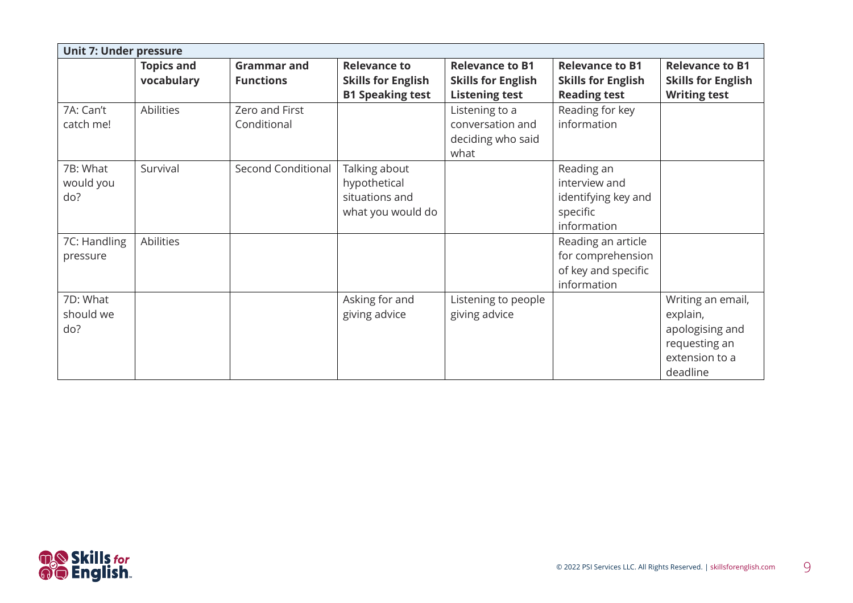| <b>Unit 7: Under pressure</b> |                   |                           |                           |                           |                           |                           |
|-------------------------------|-------------------|---------------------------|---------------------------|---------------------------|---------------------------|---------------------------|
|                               | <b>Topics and</b> | <b>Grammar and</b>        | <b>Relevance to</b>       | <b>Relevance to B1</b>    | <b>Relevance to B1</b>    | <b>Relevance to B1</b>    |
|                               | vocabulary        | <b>Functions</b>          | <b>Skills for English</b> | <b>Skills for English</b> | <b>Skills for English</b> | <b>Skills for English</b> |
|                               |                   |                           | <b>B1 Speaking test</b>   | <b>Listening test</b>     | <b>Reading test</b>       | <b>Writing test</b>       |
| 7A: Can't                     | Abilities         | Zero and First            |                           | Listening to a            | Reading for key           |                           |
| catch me!                     |                   | Conditional               |                           | conversation and          | information               |                           |
|                               |                   |                           |                           | deciding who said         |                           |                           |
|                               |                   |                           |                           | what                      |                           |                           |
| 7B: What                      | Survival          | <b>Second Conditional</b> | Talking about             |                           | Reading an                |                           |
| would you                     |                   |                           | hypothetical              |                           | interview and             |                           |
| do?                           |                   |                           | situations and            |                           | identifying key and       |                           |
|                               |                   |                           | what you would do         |                           | specific                  |                           |
|                               |                   |                           |                           |                           | information               |                           |
| 7C: Handling                  | Abilities         |                           |                           |                           | Reading an article        |                           |
| pressure                      |                   |                           |                           |                           | for comprehension         |                           |
|                               |                   |                           |                           |                           | of key and specific       |                           |
|                               |                   |                           |                           |                           | information               |                           |
| 7D: What                      |                   |                           | Asking for and            | Listening to people       |                           | Writing an email,         |
| should we                     |                   |                           | giving advice             | giving advice             |                           | explain,                  |
| do?                           |                   |                           |                           |                           |                           | apologising and           |
|                               |                   |                           |                           |                           |                           | requesting an             |
|                               |                   |                           |                           |                           |                           | extension to a            |
|                               |                   |                           |                           |                           |                           | deadline                  |

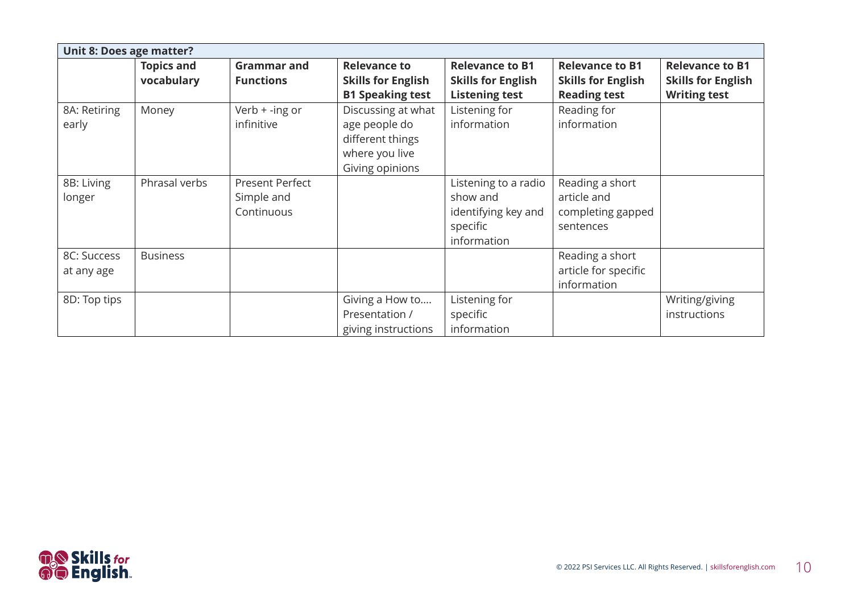| Unit 8: Does age matter?  |                                 |                                                    |                                                                                              |                                                                                    |                                                                  |                                                     |
|---------------------------|---------------------------------|----------------------------------------------------|----------------------------------------------------------------------------------------------|------------------------------------------------------------------------------------|------------------------------------------------------------------|-----------------------------------------------------|
|                           | <b>Topics and</b><br>vocabulary | <b>Grammar and</b><br><b>Functions</b>             | <b>Relevance to</b><br><b>Skills for English</b>                                             | <b>Relevance to B1</b><br><b>Skills for English</b>                                | <b>Relevance to B1</b><br><b>Skills for English</b>              | <b>Relevance to B1</b><br><b>Skills for English</b> |
|                           |                                 |                                                    | <b>B1 Speaking test</b>                                                                      | <b>Listening test</b>                                                              | <b>Reading test</b>                                              | <b>Writing test</b>                                 |
| 8A: Retiring<br>early     | Money                           | Verb + -ing or<br>infinitive                       | Discussing at what<br>age people do<br>different things<br>where you live<br>Giving opinions | Listening for<br>information                                                       | Reading for<br>information                                       |                                                     |
| 8B: Living<br>longer      | Phrasal verbs                   | <b>Present Perfect</b><br>Simple and<br>Continuous |                                                                                              | Listening to a radio<br>show and<br>identifying key and<br>specific<br>information | Reading a short<br>article and<br>completing gapped<br>sentences |                                                     |
| 8C: Success<br>at any age | <b>Business</b>                 |                                                    |                                                                                              |                                                                                    | Reading a short<br>article for specific<br>information           |                                                     |
| 8D: Top tips              |                                 |                                                    | Giving a How to<br>Presentation /<br>giving instructions                                     | Listening for<br>specific<br>information                                           |                                                                  | Writing/giving<br>instructions                      |

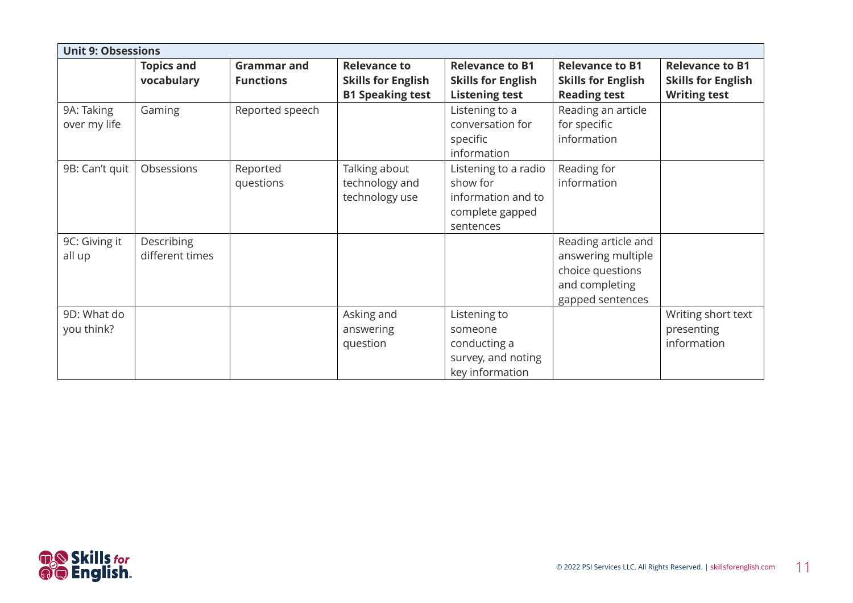| <b>Unit 9: Obsessions</b>  |                                 |                                        |                                                                             |                                                                                        |                                                                                                     |                                                                            |
|----------------------------|---------------------------------|----------------------------------------|-----------------------------------------------------------------------------|----------------------------------------------------------------------------------------|-----------------------------------------------------------------------------------------------------|----------------------------------------------------------------------------|
|                            | <b>Topics and</b><br>vocabulary | <b>Grammar and</b><br><b>Functions</b> | <b>Relevance to</b><br><b>Skills for English</b><br><b>B1 Speaking test</b> | <b>Relevance to B1</b><br><b>Skills for English</b><br><b>Listening test</b>           | <b>Relevance to B1</b><br><b>Skills for English</b><br><b>Reading test</b>                          | <b>Relevance to B1</b><br><b>Skills for English</b><br><b>Writing test</b> |
| 9A: Taking<br>over my life | Gaming                          | Reported speech                        |                                                                             | Listening to a<br>conversation for<br>specific<br>information                          | Reading an article<br>for specific<br>information                                                   |                                                                            |
| 9B: Can't quit             | Obsessions                      | Reported<br>questions                  | Talking about<br>technology and<br>technology use                           | Listening to a radio<br>show for<br>information and to<br>complete gapped<br>sentences | Reading for<br>information                                                                          |                                                                            |
| 9C: Giving it<br>all up    | Describing<br>different times   |                                        |                                                                             |                                                                                        | Reading article and<br>answering multiple<br>choice questions<br>and completing<br>gapped sentences |                                                                            |
| 9D: What do<br>you think?  |                                 |                                        | Asking and<br>answering<br>question                                         | Listening to<br>someone<br>conducting a<br>survey, and noting<br>key information       |                                                                                                     | Writing short text<br>presenting<br>information                            |

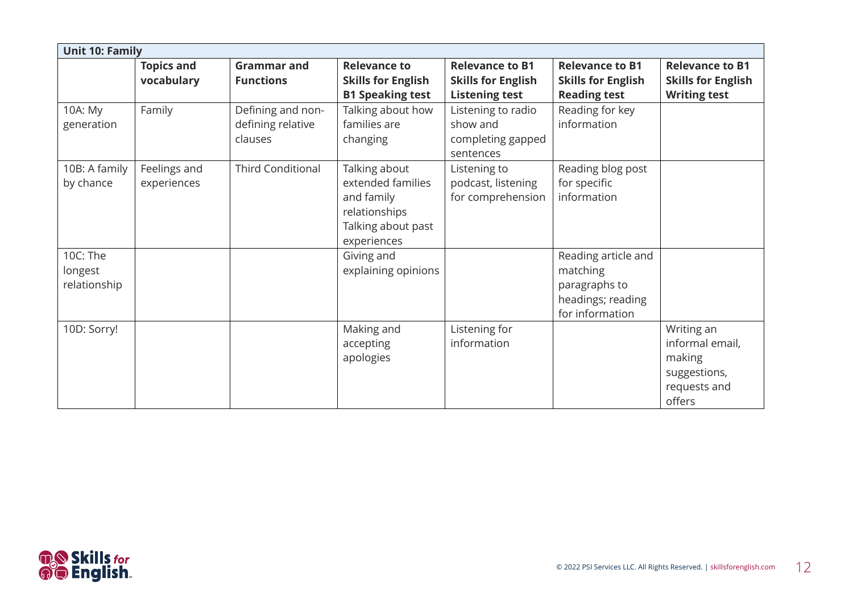|                                     | <b>Unit 10: Family</b>          |                                                   |                                                                                                        |                                                                              |                                                                                          |                                                                                   |  |  |  |
|-------------------------------------|---------------------------------|---------------------------------------------------|--------------------------------------------------------------------------------------------------------|------------------------------------------------------------------------------|------------------------------------------------------------------------------------------|-----------------------------------------------------------------------------------|--|--|--|
|                                     | <b>Topics and</b><br>vocabulary | <b>Grammar and</b><br><b>Functions</b>            | <b>Relevance to</b><br><b>Skills for English</b><br><b>B1 Speaking test</b>                            | <b>Relevance to B1</b><br><b>Skills for English</b><br><b>Listening test</b> | <b>Relevance to B1</b><br><b>Skills for English</b><br><b>Reading test</b>               | <b>Relevance to B1</b><br><b>Skills for English</b><br><b>Writing test</b>        |  |  |  |
| 10A: My<br>generation               | Family                          | Defining and non-<br>defining relative<br>clauses | Talking about how<br>families are<br>changing                                                          | Listening to radio<br>show and<br>completing gapped<br>sentences             | Reading for key<br>information                                                           |                                                                                   |  |  |  |
| 10B: A family<br>by chance          | Feelings and<br>experiences     | <b>Third Conditional</b>                          | Talking about<br>extended families<br>and family<br>relationships<br>Talking about past<br>experiences | Listening to<br>podcast, listening<br>for comprehension                      | Reading blog post<br>for specific<br>information                                         |                                                                                   |  |  |  |
| 10C: The<br>longest<br>relationship |                                 |                                                   | Giving and<br>explaining opinions                                                                      |                                                                              | Reading article and<br>matching<br>paragraphs to<br>headings; reading<br>for information |                                                                                   |  |  |  |
| 10D: Sorry!                         |                                 |                                                   | Making and<br>accepting<br>apologies                                                                   | Listening for<br>information                                                 |                                                                                          | Writing an<br>informal email,<br>making<br>suggestions,<br>requests and<br>offers |  |  |  |

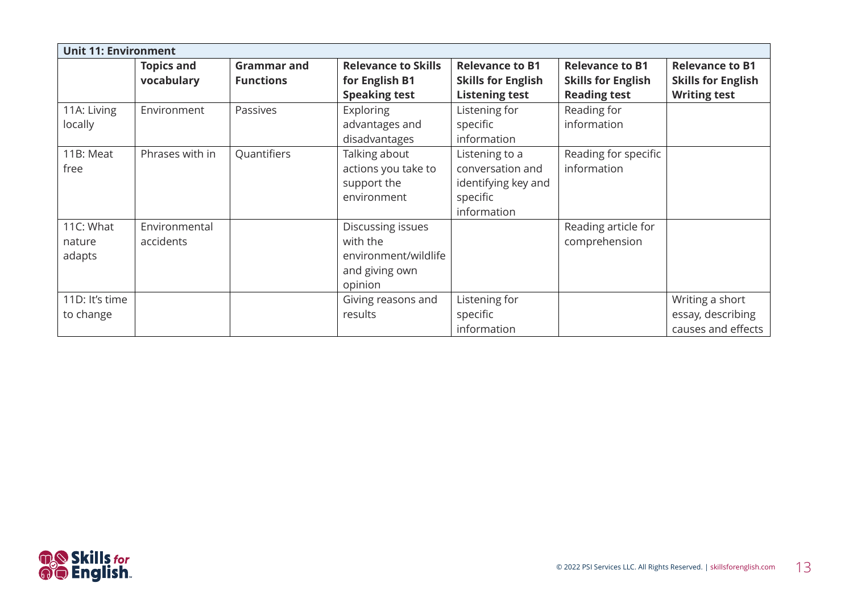| <b>Unit 11: Environment</b>   |                                 |                                        |                                                                                    |                                                                                      |                                                                            |                                                                            |  |  |
|-------------------------------|---------------------------------|----------------------------------------|------------------------------------------------------------------------------------|--------------------------------------------------------------------------------------|----------------------------------------------------------------------------|----------------------------------------------------------------------------|--|--|
|                               | <b>Topics and</b><br>vocabulary | <b>Grammar and</b><br><b>Functions</b> | <b>Relevance to Skills</b><br>for English B1<br><b>Speaking test</b>               | <b>Relevance to B1</b><br><b>Skills for English</b><br><b>Listening test</b>         | <b>Relevance to B1</b><br><b>Skills for English</b><br><b>Reading test</b> | <b>Relevance to B1</b><br><b>Skills for English</b><br><b>Writing test</b> |  |  |
| 11A: Living<br>locally        | Environment                     | Passives                               | <b>Exploring</b><br>advantages and<br>disadvantages                                | Listening for<br>specific<br>information                                             | Reading for<br>information                                                 |                                                                            |  |  |
| 11B: Meat<br>free             | Phrases with in                 | Quantifiers                            | Talking about<br>actions you take to<br>support the<br>environment                 | Listening to a<br>conversation and<br>identifying key and<br>specific<br>information | Reading for specific<br>information                                        |                                                                            |  |  |
| 11C: What<br>nature<br>adapts | Environmental<br>accidents      |                                        | Discussing issues<br>with the<br>environment/wildlife<br>and giving own<br>opinion |                                                                                      | Reading article for<br>comprehension                                       |                                                                            |  |  |
| 11D: It's time<br>to change   |                                 |                                        | Giving reasons and<br>results                                                      | Listening for<br>specific<br>information                                             |                                                                            | Writing a short<br>essay, describing<br>causes and effects                 |  |  |